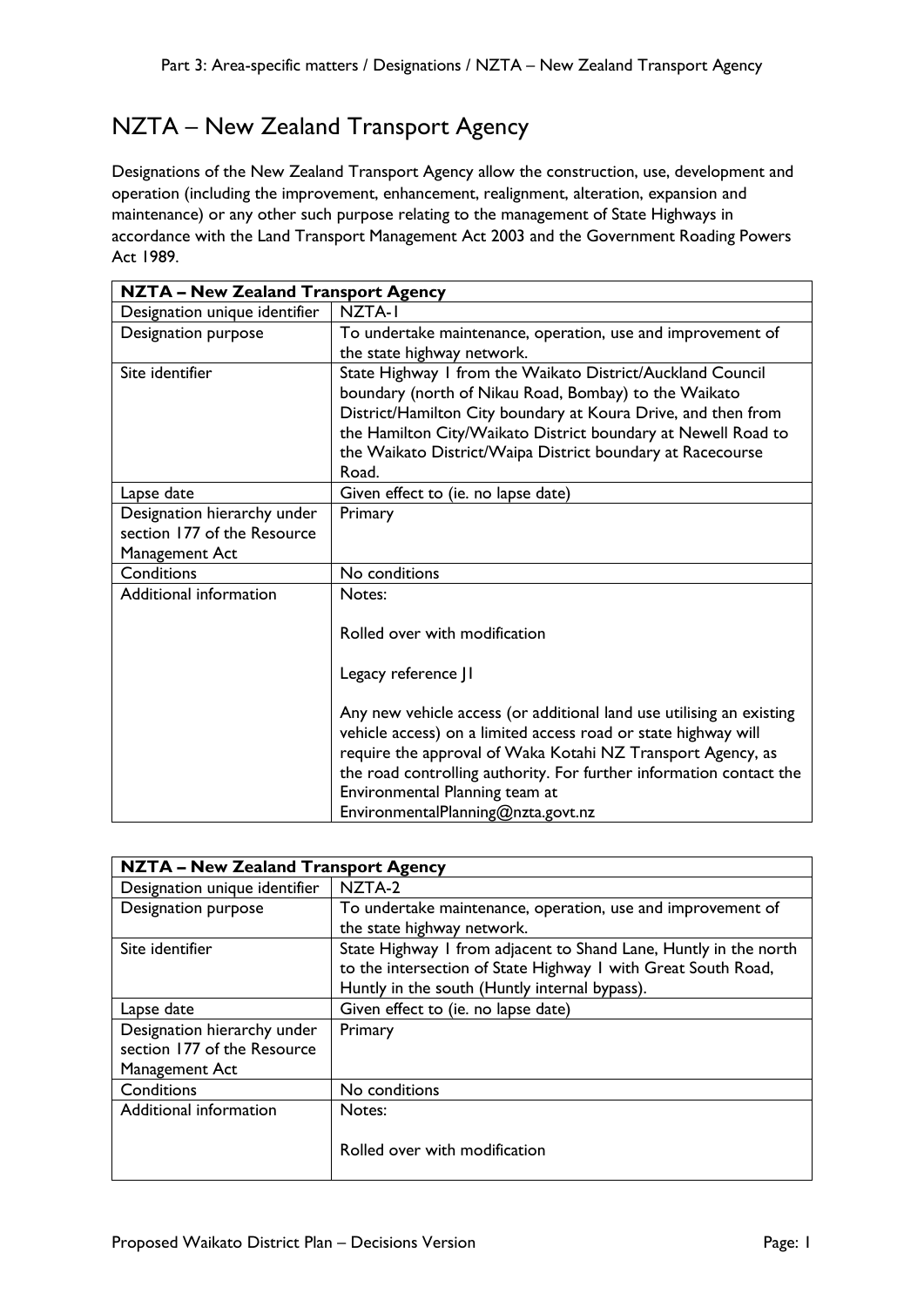## NZTA – New Zealand Transport Agency

Designations of the New Zealand Transport Agency allow the construction, use, development and operation (including the improvement, enhancement, realignment, alteration, expansion and maintenance) or any other such purpose relating to the management of State Highways in accordance with the Land Transport Management Act 2003 and the Government Roading Powers Act 1989.

| <b>NZTA - New Zealand Transport Agency</b> |                                                                      |  |
|--------------------------------------------|----------------------------------------------------------------------|--|
| Designation unique identifier              | NZTA-I                                                               |  |
| Designation purpose                        | To undertake maintenance, operation, use and improvement of          |  |
|                                            | the state highway network.                                           |  |
| Site identifier                            | State Highway I from the Waikato District/Auckland Council           |  |
|                                            | boundary (north of Nikau Road, Bombay) to the Waikato                |  |
|                                            | District/Hamilton City boundary at Koura Drive, and then from        |  |
|                                            | the Hamilton City/Waikato District boundary at Newell Road to        |  |
|                                            | the Waikato District/Waipa District boundary at Racecourse           |  |
|                                            | Road.                                                                |  |
| Lapse date                                 | Given effect to (ie. no lapse date)                                  |  |
| Designation hierarchy under                | Primary                                                              |  |
| section 177 of the Resource                |                                                                      |  |
| Management Act                             |                                                                      |  |
| Conditions                                 | No conditions                                                        |  |
| Additional information                     | Notes:                                                               |  |
|                                            |                                                                      |  |
|                                            | Rolled over with modification                                        |  |
|                                            | Legacy reference JI                                                  |  |
|                                            |                                                                      |  |
|                                            | Any new vehicle access (or additional land use utilising an existing |  |
|                                            | vehicle access) on a limited access road or state highway will       |  |
|                                            | require the approval of Waka Kotahi NZ Transport Agency, as          |  |
|                                            | the road controlling authority. For further information contact the  |  |
|                                            | Environmental Planning team at                                       |  |
|                                            | EnvironmentalPlanning@nzta.govt.nz                                   |  |

| NZTA - New Zealand Transport Agency                                          |                                                                                                                                                                                    |
|------------------------------------------------------------------------------|------------------------------------------------------------------------------------------------------------------------------------------------------------------------------------|
| Designation unique identifier                                                | NZTA-2                                                                                                                                                                             |
| Designation purpose                                                          | To undertake maintenance, operation, use and improvement of<br>the state highway network.                                                                                          |
| Site identifier                                                              | State Highway I from adjacent to Shand Lane, Huntly in the north<br>to the intersection of State Highway I with Great South Road,<br>Huntly in the south (Huntly internal bypass). |
| Lapse date                                                                   | Given effect to (ie. no lapse date)                                                                                                                                                |
| Designation hierarchy under<br>section 177 of the Resource<br>Management Act | Primary                                                                                                                                                                            |
| Conditions                                                                   | No conditions                                                                                                                                                                      |
| Additional information                                                       | Notes:<br>Rolled over with modification                                                                                                                                            |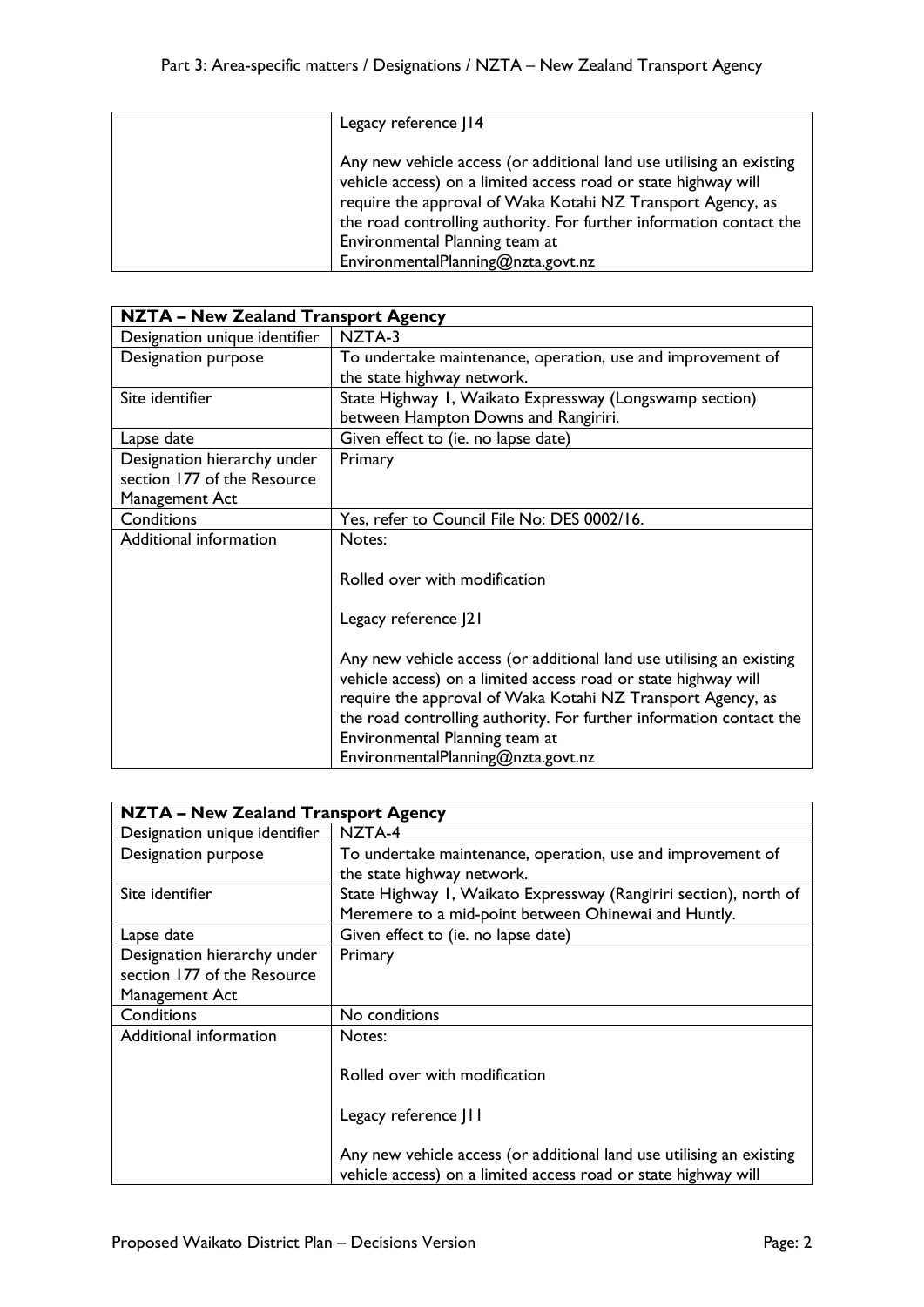| Legacy reference J14                                                                                                                                                                                                                                                                                                                                 |
|------------------------------------------------------------------------------------------------------------------------------------------------------------------------------------------------------------------------------------------------------------------------------------------------------------------------------------------------------|
| Any new vehicle access (or additional land use utilising an existing<br>vehicle access) on a limited access road or state highway will<br>require the approval of Waka Kotahi NZ Transport Agency, as<br>the road controlling authority. For further information contact the<br>Environmental Planning team at<br>EnvironmentalPlanning@nzta.govt.nz |

| <b>NZTA - New Zealand Transport Agency</b> |                                                                      |
|--------------------------------------------|----------------------------------------------------------------------|
| Designation unique identifier              | NZTA-3                                                               |
| Designation purpose                        | To undertake maintenance, operation, use and improvement of          |
|                                            | the state highway network.                                           |
| Site identifier                            | State Highway I, Waikato Expressway (Longswamp section)              |
|                                            | between Hampton Downs and Rangiriri.                                 |
| Lapse date                                 | Given effect to (ie. no lapse date)                                  |
| Designation hierarchy under                | Primary                                                              |
| section 177 of the Resource                |                                                                      |
| Management Act                             |                                                                      |
| Conditions                                 | Yes, refer to Council File No: DES 0002/16.                          |
| Additional information                     | Notes:                                                               |
|                                            |                                                                      |
|                                            | Rolled over with modification                                        |
|                                            |                                                                      |
|                                            | Legacy reference J21                                                 |
|                                            |                                                                      |
|                                            | Any new vehicle access (or additional land use utilising an existing |
|                                            | vehicle access) on a limited access road or state highway will       |
|                                            | require the approval of Waka Kotahi NZ Transport Agency, as          |
|                                            | the road controlling authority. For further information contact the  |
|                                            | Environmental Planning team at                                       |
|                                            | EnvironmentalPlanning@nzta.govt.nz                                   |

| <b>NZTA - New Zealand Transport Agency</b> |                                                                                                                                        |
|--------------------------------------------|----------------------------------------------------------------------------------------------------------------------------------------|
| Designation unique identifier              | NZTA-4                                                                                                                                 |
| Designation purpose                        | To undertake maintenance, operation, use and improvement of                                                                            |
|                                            | the state highway network.                                                                                                             |
| Site identifier                            | State Highway I, Waikato Expressway (Rangiriri section), north of                                                                      |
|                                            | Meremere to a mid-point between Ohinewai and Huntly.                                                                                   |
| Lapse date                                 | Given effect to (ie. no lapse date)                                                                                                    |
| Designation hierarchy under                | Primary                                                                                                                                |
| section 177 of the Resource                |                                                                                                                                        |
| Management Act                             |                                                                                                                                        |
| Conditions                                 | No conditions                                                                                                                          |
| Additional information                     | Notes:                                                                                                                                 |
|                                            |                                                                                                                                        |
|                                            | Rolled over with modification                                                                                                          |
|                                            |                                                                                                                                        |
|                                            | Legacy reference JII                                                                                                                   |
|                                            |                                                                                                                                        |
|                                            | Any new vehicle access (or additional land use utilising an existing<br>vehicle access) on a limited access road or state highway will |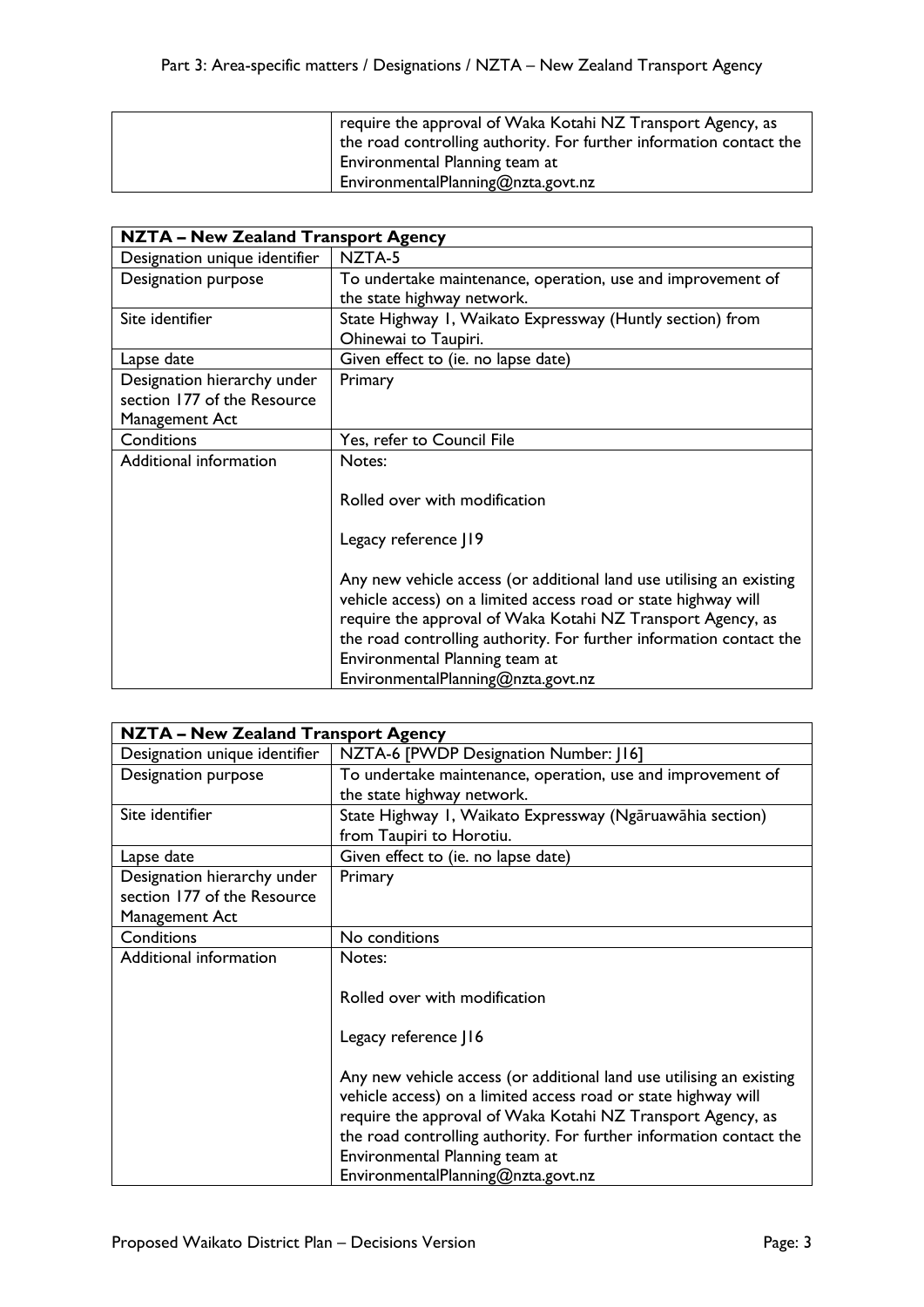| require the approval of Waka Kotahi NZ Transport Agency, as<br>the road controlling authority. For further information contact the |
|------------------------------------------------------------------------------------------------------------------------------------|
| Environmental Planning team at                                                                                                     |
| EnvironmentalPlanning@nzta.govt.nz                                                                                                 |

| <b>NZTA - New Zealand Transport Agency</b> |                                                                      |  |
|--------------------------------------------|----------------------------------------------------------------------|--|
| Designation unique identifier              | NZTA-5                                                               |  |
| Designation purpose                        | To undertake maintenance, operation, use and improvement of          |  |
|                                            | the state highway network.                                           |  |
| Site identifier                            | State Highway I, Waikato Expressway (Huntly section) from            |  |
|                                            | Ohinewai to Taupiri.                                                 |  |
| Lapse date                                 | Given effect to (ie. no lapse date)                                  |  |
| Designation hierarchy under                | Primary                                                              |  |
| section 177 of the Resource                |                                                                      |  |
| Management Act                             |                                                                      |  |
| Conditions                                 | Yes, refer to Council File                                           |  |
| Additional information                     | Notes:                                                               |  |
|                                            |                                                                      |  |
|                                            | Rolled over with modification                                        |  |
|                                            |                                                                      |  |
|                                            | Legacy reference J19                                                 |  |
|                                            |                                                                      |  |
|                                            | Any new vehicle access (or additional land use utilising an existing |  |
|                                            | vehicle access) on a limited access road or state highway will       |  |
|                                            | require the approval of Waka Kotahi NZ Transport Agency, as          |  |
|                                            | the road controlling authority. For further information contact the  |  |
|                                            | Environmental Planning team at                                       |  |
|                                            | EnvironmentalPlanning@nzta.govt.nz                                   |  |

| <b>NZTA - New Zealand Transport Agency</b> |                                                                                                                                                                                                       |  |
|--------------------------------------------|-------------------------------------------------------------------------------------------------------------------------------------------------------------------------------------------------------|--|
| Designation unique identifier              | NZTA-6 [PWDP Designation Number: [16]                                                                                                                                                                 |  |
| Designation purpose                        | To undertake maintenance, operation, use and improvement of                                                                                                                                           |  |
|                                            | the state highway network.                                                                                                                                                                            |  |
| Site identifier                            | State Highway I, Waikato Expressway (Ngāruawāhia section)                                                                                                                                             |  |
|                                            | from Taupiri to Horotiu.                                                                                                                                                                              |  |
| Lapse date                                 | Given effect to (ie. no lapse date)                                                                                                                                                                   |  |
| Designation hierarchy under                | Primary                                                                                                                                                                                               |  |
| section 177 of the Resource                |                                                                                                                                                                                                       |  |
| Management Act                             |                                                                                                                                                                                                       |  |
| Conditions                                 | No conditions                                                                                                                                                                                         |  |
| Additional information                     | Notes:                                                                                                                                                                                                |  |
|                                            |                                                                                                                                                                                                       |  |
|                                            | Rolled over with modification                                                                                                                                                                         |  |
|                                            | Legacy reference J16                                                                                                                                                                                  |  |
|                                            | Any new vehicle access (or additional land use utilising an existing<br>vehicle access) on a limited access road or state highway will<br>require the approval of Waka Kotahi NZ Transport Agency, as |  |
|                                            | the road controlling authority. For further information contact the                                                                                                                                   |  |
|                                            | Environmental Planning team at                                                                                                                                                                        |  |
|                                            | EnvironmentalPlanning@nzta.govt.nz                                                                                                                                                                    |  |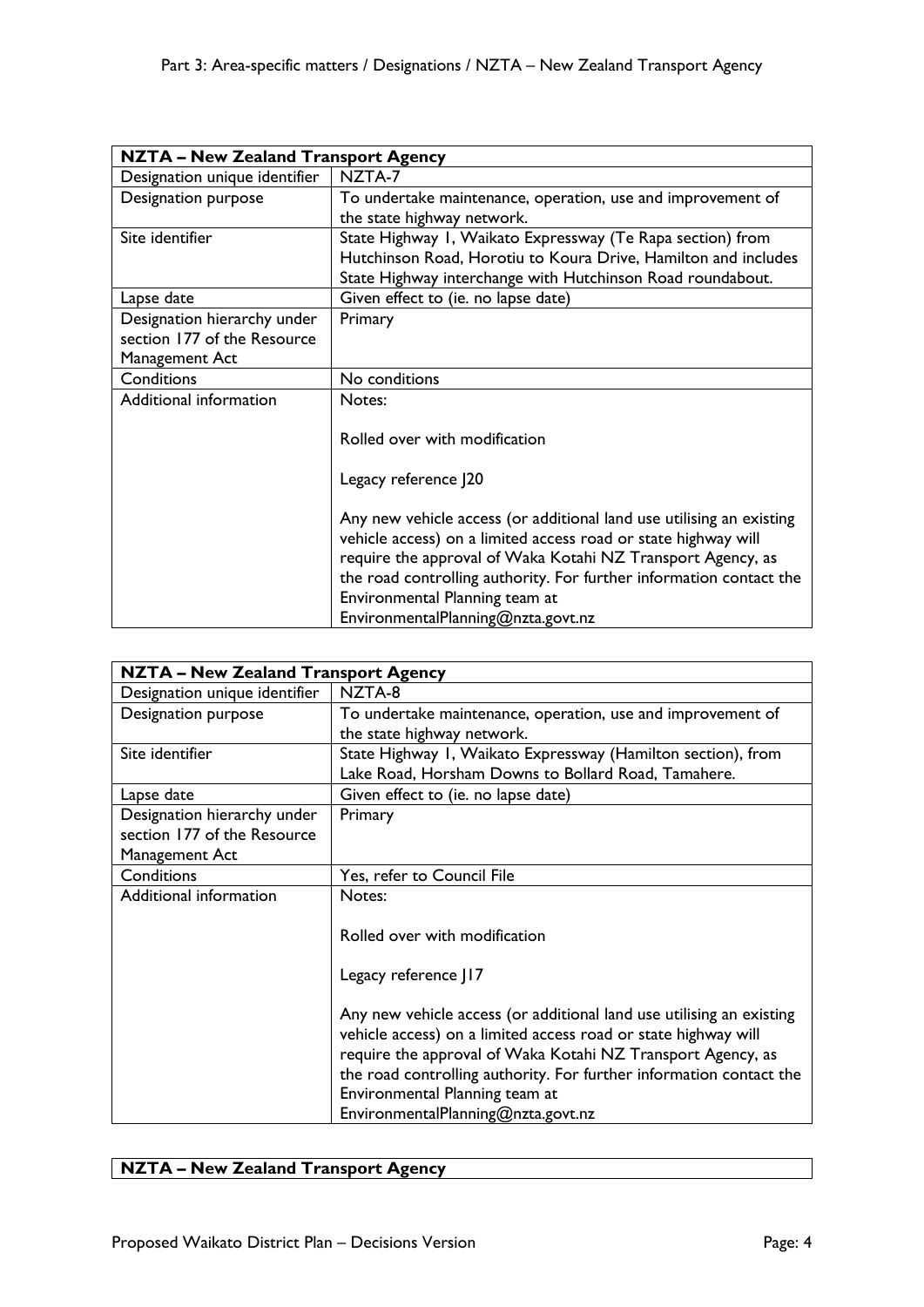|                               | <b>NZTA - New Zealand Transport Agency</b>                           |  |
|-------------------------------|----------------------------------------------------------------------|--|
| Designation unique identifier | NZTA-7                                                               |  |
| Designation purpose           | To undertake maintenance, operation, use and improvement of          |  |
|                               | the state highway network.                                           |  |
| Site identifier               | State Highway 1, Waikato Expressway (Te Rapa section) from           |  |
|                               | Hutchinson Road, Horotiu to Koura Drive, Hamilton and includes       |  |
|                               | State Highway interchange with Hutchinson Road roundabout.           |  |
| Lapse date                    | Given effect to (ie. no lapse date)                                  |  |
| Designation hierarchy under   | Primary                                                              |  |
| section 177 of the Resource   |                                                                      |  |
| Management Act                |                                                                      |  |
| Conditions                    | No conditions                                                        |  |
| Additional information        | Notes:                                                               |  |
|                               | Rolled over with modification                                        |  |
|                               |                                                                      |  |
|                               | Legacy reference J20                                                 |  |
|                               |                                                                      |  |
|                               | Any new vehicle access (or additional land use utilising an existing |  |
|                               | vehicle access) on a limited access road or state highway will       |  |
|                               | require the approval of Waka Kotahi NZ Transport Agency, as          |  |
|                               | the road controlling authority. For further information contact the  |  |
|                               | Environmental Planning team at                                       |  |
|                               | EnvironmentalPlanning@nzta.govt.nz                                   |  |

| <b>NZTA - New Zealand Transport Agency</b> |                                                                      |
|--------------------------------------------|----------------------------------------------------------------------|
| Designation unique identifier              | NZTA-8                                                               |
| Designation purpose                        | To undertake maintenance, operation, use and improvement of          |
|                                            | the state highway network.                                           |
| Site identifier                            | State Highway I, Waikato Expressway (Hamilton section), from         |
|                                            | Lake Road, Horsham Downs to Bollard Road, Tamahere.                  |
| Lapse date                                 | Given effect to (ie. no lapse date)                                  |
| Designation hierarchy under                | Primary                                                              |
| section 177 of the Resource                |                                                                      |
| Management Act                             |                                                                      |
| Conditions                                 | Yes, refer to Council File                                           |
| Additional information                     | Notes:                                                               |
|                                            |                                                                      |
|                                            | Rolled over with modification                                        |
|                                            |                                                                      |
|                                            | Legacy reference J17                                                 |
|                                            |                                                                      |
|                                            | Any new vehicle access (or additional land use utilising an existing |
|                                            | vehicle access) on a limited access road or state highway will       |
|                                            | require the approval of Waka Kotahi NZ Transport Agency, as          |
|                                            | the road controlling authority. For further information contact the  |
|                                            | Environmental Planning team at                                       |
|                                            | EnvironmentalPlanning@nzta.govt.nz                                   |

## **NZTA – New Zealand Transport Agency**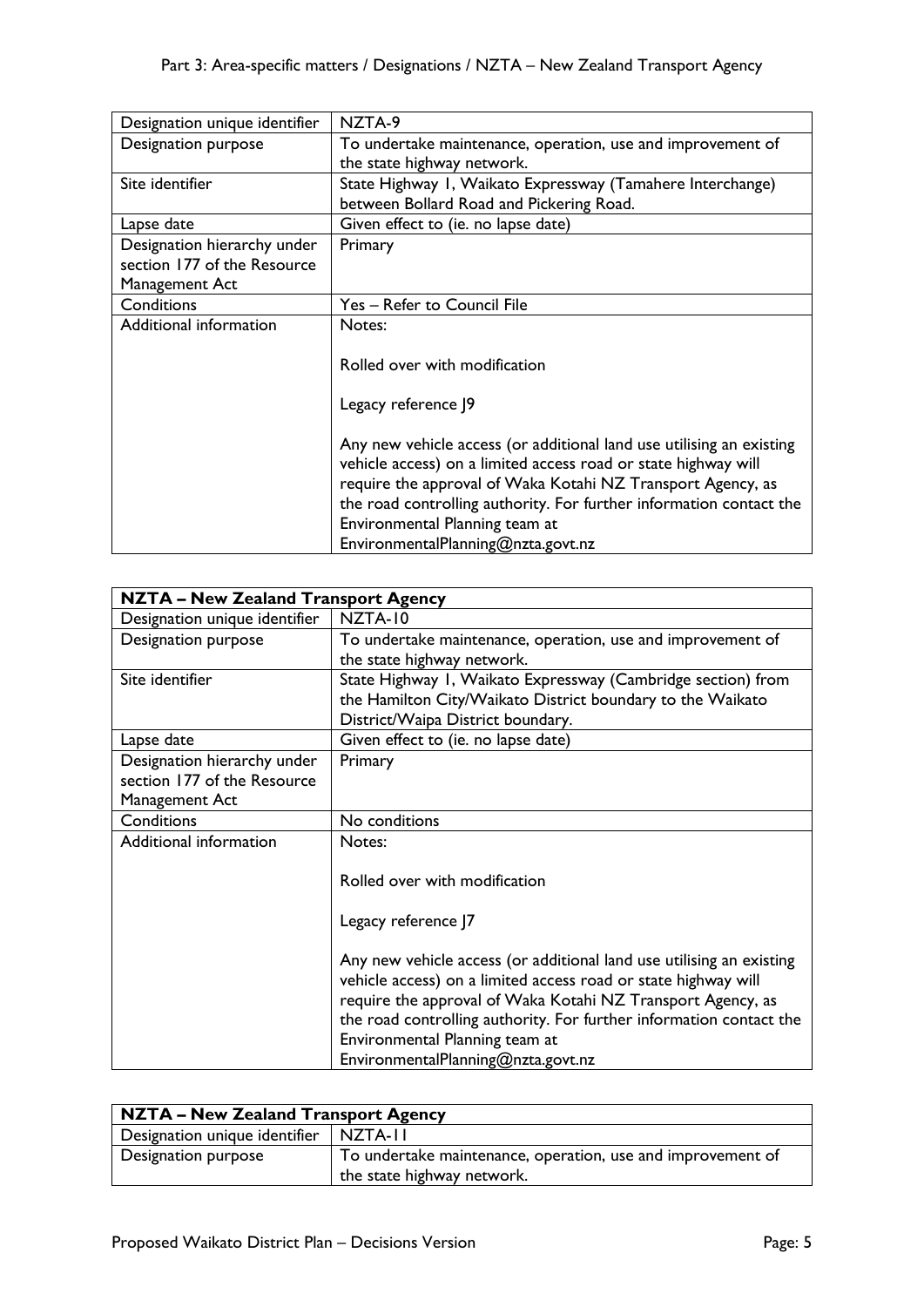| Designation unique identifier | NZTA-9                                                               |
|-------------------------------|----------------------------------------------------------------------|
| Designation purpose           | To undertake maintenance, operation, use and improvement of          |
|                               | the state highway network.                                           |
| Site identifier               | State Highway I, Waikato Expressway (Tamahere Interchange)           |
|                               | between Bollard Road and Pickering Road.                             |
| Lapse date                    | Given effect to (ie. no lapse date)                                  |
| Designation hierarchy under   | Primary                                                              |
| section 177 of the Resource   |                                                                      |
| Management Act                |                                                                      |
| Conditions                    | Yes - Refer to Council File                                          |
| Additional information        | Notes:                                                               |
|                               |                                                                      |
|                               | Rolled over with modification                                        |
|                               |                                                                      |
|                               | Legacy reference J9                                                  |
|                               |                                                                      |
|                               | Any new vehicle access (or additional land use utilising an existing |
|                               | vehicle access) on a limited access road or state highway will       |
|                               | require the approval of Waka Kotahi NZ Transport Agency, as          |
|                               | the road controlling authority. For further information contact the  |
|                               | Environmental Planning team at                                       |
|                               | EnvironmentalPlanning@nzta.govt.nz                                   |

| <b>NZTA - New Zealand Transport Agency</b> |                                                                      |  |
|--------------------------------------------|----------------------------------------------------------------------|--|
| Designation unique identifier              | NZTA-10                                                              |  |
| Designation purpose                        | To undertake maintenance, operation, use and improvement of          |  |
|                                            | the state highway network.                                           |  |
| Site identifier                            | State Highway I, Waikato Expressway (Cambridge section) from         |  |
|                                            | the Hamilton City/Waikato District boundary to the Waikato           |  |
|                                            | District/Waipa District boundary.                                    |  |
| Lapse date                                 | Given effect to (ie. no lapse date)                                  |  |
| Designation hierarchy under                | Primary                                                              |  |
| section 177 of the Resource                |                                                                      |  |
| Management Act                             |                                                                      |  |
| Conditions                                 | No conditions                                                        |  |
| Additional information                     | Notes:                                                               |  |
|                                            |                                                                      |  |
|                                            | Rolled over with modification                                        |  |
|                                            |                                                                      |  |
|                                            | Legacy reference J7                                                  |  |
|                                            |                                                                      |  |
|                                            | Any new vehicle access (or additional land use utilising an existing |  |
|                                            | vehicle access) on a limited access road or state highway will       |  |
|                                            | require the approval of Waka Kotahi NZ Transport Agency, as          |  |
|                                            | the road controlling authority. For further information contact the  |  |
|                                            | Environmental Planning team at                                       |  |
|                                            | EnvironmentalPlanning@nzta.govt.nz                                   |  |
|                                            |                                                                      |  |

| NZTA - New Zealand Transport Agency |                                                                                           |
|-------------------------------------|-------------------------------------------------------------------------------------------|
| Designation unique identifier       | I NZTA-II                                                                                 |
| Designation purpose                 | To undertake maintenance, operation, use and improvement of<br>the state highway network. |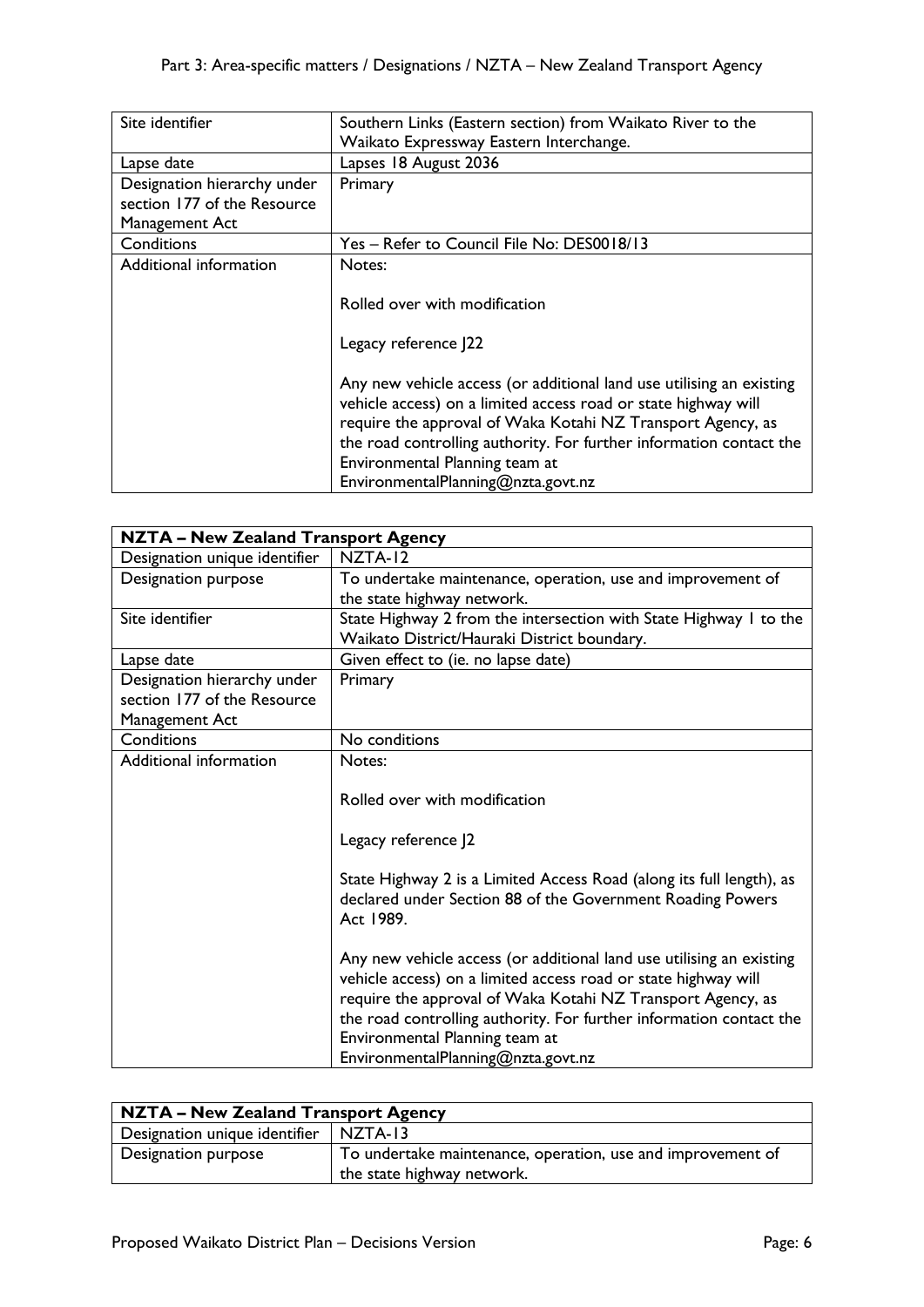| Site identifier                                                              | Southern Links (Eastern section) from Waikato River to the<br>Waikato Expressway Eastern Interchange.                                                                                                                                                                                                                                                |
|------------------------------------------------------------------------------|------------------------------------------------------------------------------------------------------------------------------------------------------------------------------------------------------------------------------------------------------------------------------------------------------------------------------------------------------|
| Lapse date                                                                   | Lapses 18 August 2036                                                                                                                                                                                                                                                                                                                                |
| Designation hierarchy under<br>section 177 of the Resource<br>Management Act | Primary                                                                                                                                                                                                                                                                                                                                              |
| Conditions                                                                   | Yes - Refer to Council File No: DES0018/13                                                                                                                                                                                                                                                                                                           |
| Additional information                                                       | Notes:<br>Rolled over with modification<br>Legacy reference J22                                                                                                                                                                                                                                                                                      |
|                                                                              | Any new vehicle access (or additional land use utilising an existing<br>vehicle access) on a limited access road or state highway will<br>require the approval of Waka Kotahi NZ Transport Agency, as<br>the road controlling authority. For further information contact the<br>Environmental Planning team at<br>EnvironmentalPlanning@nzta.govt.nz |

| <b>NZTA - New Zealand Transport Agency</b>                                   |                                                                                                                                                                                                                                                                                                                                                      |
|------------------------------------------------------------------------------|------------------------------------------------------------------------------------------------------------------------------------------------------------------------------------------------------------------------------------------------------------------------------------------------------------------------------------------------------|
| Designation unique identifier                                                | NZTA-12                                                                                                                                                                                                                                                                                                                                              |
| Designation purpose                                                          | To undertake maintenance, operation, use and improvement of<br>the state highway network.                                                                                                                                                                                                                                                            |
| Site identifier                                                              | State Highway 2 from the intersection with State Highway 1 to the<br>Waikato District/Hauraki District boundary.                                                                                                                                                                                                                                     |
| Lapse date                                                                   | Given effect to (ie. no lapse date)                                                                                                                                                                                                                                                                                                                  |
| Designation hierarchy under<br>section 177 of the Resource<br>Management Act | Primary                                                                                                                                                                                                                                                                                                                                              |
| Conditions                                                                   | No conditions                                                                                                                                                                                                                                                                                                                                        |
| Additional information                                                       | Notes:<br>Rolled over with modification<br>Legacy reference J2<br>State Highway 2 is a Limited Access Road (along its full length), as<br>declared under Section 88 of the Government Roading Powers<br>Act 1989.                                                                                                                                    |
|                                                                              | Any new vehicle access (or additional land use utilising an existing<br>vehicle access) on a limited access road or state highway will<br>require the approval of Waka Kotahi NZ Transport Agency, as<br>the road controlling authority. For further information contact the<br>Environmental Planning team at<br>EnvironmentalPlanning@nzta.govt.nz |

| NZTA - New Zealand Transport Agency |                                                                                           |
|-------------------------------------|-------------------------------------------------------------------------------------------|
| Designation unique identifier       | NZTA-13                                                                                   |
| Designation purpose                 | To undertake maintenance, operation, use and improvement of<br>the state highway network. |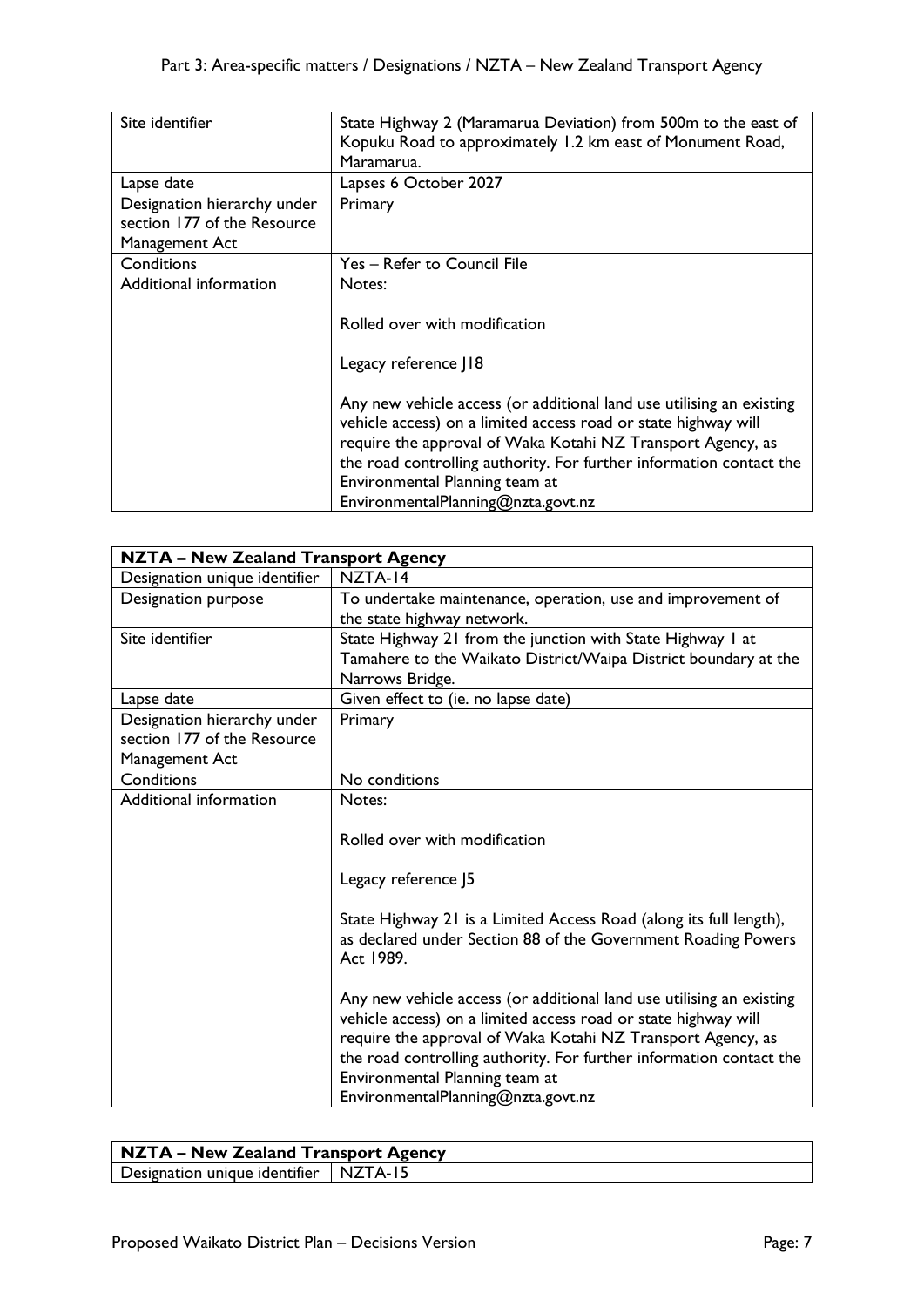| Site identifier             | State Highway 2 (Maramarua Deviation) from 500m to the east of       |
|-----------------------------|----------------------------------------------------------------------|
|                             | Kopuku Road to approximately 1.2 km east of Monument Road,           |
|                             | Maramarua.                                                           |
| Lapse date                  | Lapses 6 October 2027                                                |
| Designation hierarchy under | Primary                                                              |
| section 177 of the Resource |                                                                      |
| Management Act              |                                                                      |
| Conditions                  | Yes - Refer to Council File                                          |
| Additional information      | Notes:                                                               |
|                             |                                                                      |
|                             | Rolled over with modification                                        |
|                             |                                                                      |
|                             | Legacy reference   18                                                |
|                             |                                                                      |
|                             | Any new vehicle access (or additional land use utilising an existing |
|                             | vehicle access) on a limited access road or state highway will       |
|                             | require the approval of Waka Kotahi NZ Transport Agency, as          |
|                             | the road controlling authority. For further information contact the  |
|                             | Environmental Planning team at                                       |
|                             | EnvironmentalPlanning@nzta.govt.nz                                   |

| <b>NZTA - New Zealand Transport Agency</b> |                                                                      |
|--------------------------------------------|----------------------------------------------------------------------|
| Designation unique identifier              | NZTA-14                                                              |
| Designation purpose                        | To undertake maintenance, operation, use and improvement of          |
|                                            | the state highway network.                                           |
| Site identifier                            | State Highway 21 from the junction with State Highway 1 at           |
|                                            | Tamahere to the Waikato District/Waipa District boundary at the      |
|                                            | Narrows Bridge.                                                      |
| Lapse date                                 | Given effect to (ie. no lapse date)                                  |
| Designation hierarchy under                | Primary                                                              |
| section 177 of the Resource                |                                                                      |
| Management Act                             |                                                                      |
| Conditions                                 | No conditions                                                        |
| Additional information                     | Notes:                                                               |
|                                            |                                                                      |
|                                            | Rolled over with modification                                        |
|                                            |                                                                      |
|                                            | Legacy reference J5                                                  |
|                                            |                                                                      |
|                                            | State Highway 21 is a Limited Access Road (along its full length),   |
|                                            | as declared under Section 88 of the Government Roading Powers        |
|                                            | Act 1989.                                                            |
|                                            |                                                                      |
|                                            | Any new vehicle access (or additional land use utilising an existing |
|                                            | vehicle access) on a limited access road or state highway will       |
|                                            | require the approval of Waka Kotahi NZ Transport Agency, as          |
|                                            | the road controlling authority. For further information contact the  |
|                                            | Environmental Planning team at                                       |
|                                            | EnvironmentalPlanning@nzta.govt.nz                                   |

| NZTA – New Zealand Transport Agency     |  |
|-----------------------------------------|--|
| Designation unique identifier   NZTA-15 |  |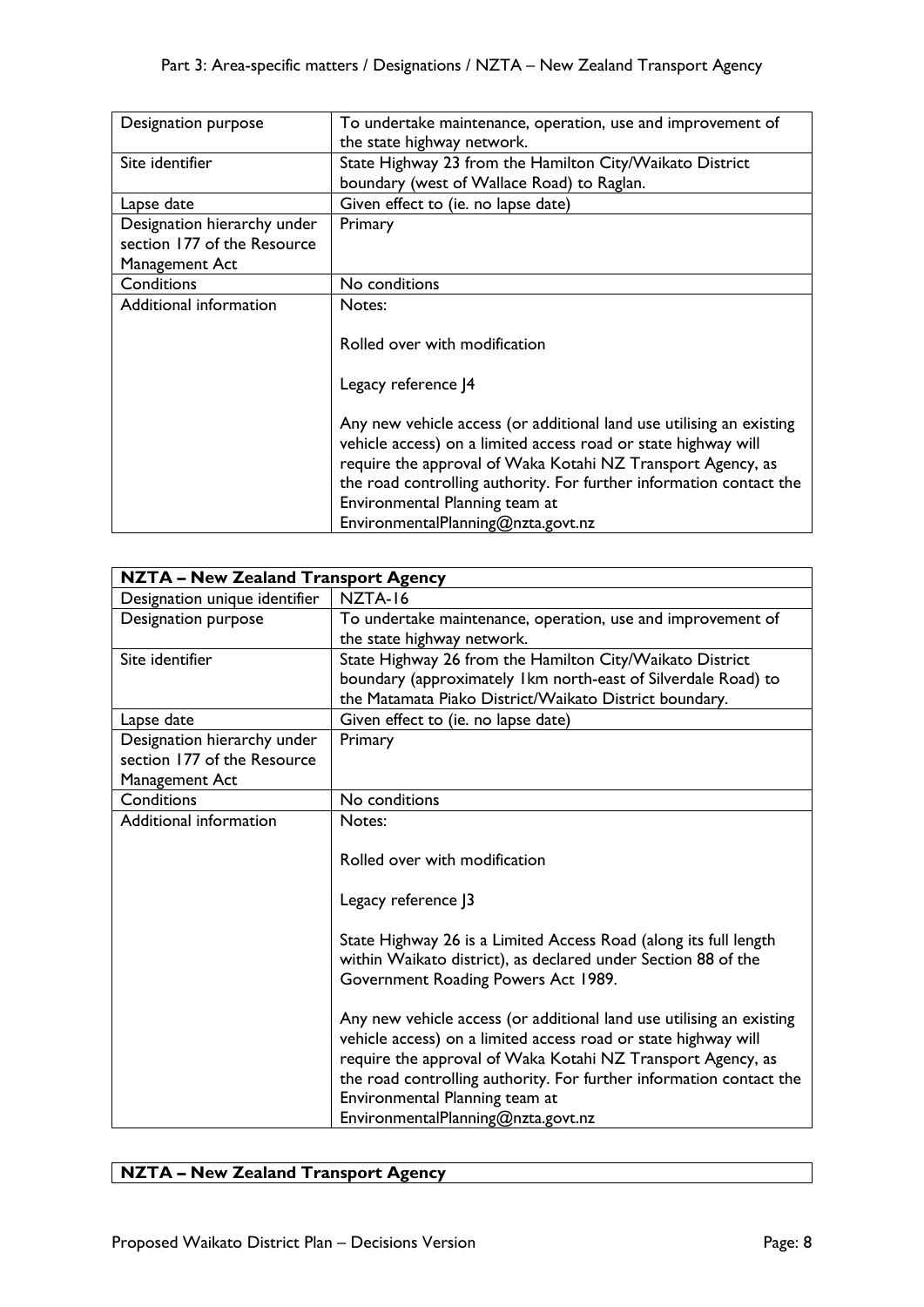| Designation purpose         | To undertake maintenance, operation, use and improvement of<br>the state highway network. |
|-----------------------------|-------------------------------------------------------------------------------------------|
| Site identifier             | State Highway 23 from the Hamilton City/Waikato District                                  |
|                             | boundary (west of Wallace Road) to Raglan.                                                |
| Lapse date                  | Given effect to (ie. no lapse date)                                                       |
| Designation hierarchy under | Primary                                                                                   |
| section 177 of the Resource |                                                                                           |
| Management Act              |                                                                                           |
| Conditions                  | No conditions                                                                             |
| Additional information      | Notes:                                                                                    |
|                             |                                                                                           |
|                             | Rolled over with modification                                                             |
|                             |                                                                                           |
|                             | Legacy reference J4                                                                       |
|                             |                                                                                           |
|                             | Any new vehicle access (or additional land use utilising an existing                      |
|                             | vehicle access) on a limited access road or state highway will                            |
|                             | require the approval of Waka Kotahi NZ Transport Agency, as                               |
|                             | the road controlling authority. For further information contact the                       |
|                             | Environmental Planning team at                                                            |
|                             | EnvironmentalPlanning@nzta.govt.nz                                                        |

| <b>NZTA - New Zealand Transport Agency</b>                                   |                                                                                                                                                                                                                                                                                                                                                      |
|------------------------------------------------------------------------------|------------------------------------------------------------------------------------------------------------------------------------------------------------------------------------------------------------------------------------------------------------------------------------------------------------------------------------------------------|
| Designation unique identifier                                                | NZTA-16                                                                                                                                                                                                                                                                                                                                              |
| Designation purpose                                                          | To undertake maintenance, operation, use and improvement of<br>the state highway network.                                                                                                                                                                                                                                                            |
| Site identifier                                                              | State Highway 26 from the Hamilton City/Waikato District<br>boundary (approximately Ikm north-east of Silverdale Road) to<br>the Matamata Piako District/Waikato District boundary.                                                                                                                                                                  |
| Lapse date                                                                   | Given effect to (ie. no lapse date)                                                                                                                                                                                                                                                                                                                  |
| Designation hierarchy under<br>section 177 of the Resource<br>Management Act | Primary                                                                                                                                                                                                                                                                                                                                              |
| Conditions                                                                   | No conditions                                                                                                                                                                                                                                                                                                                                        |
| Additional information                                                       | Notes:<br>Rolled over with modification<br>Legacy reference J3<br>State Highway 26 is a Limited Access Road (along its full length<br>within Waikato district), as declared under Section 88 of the<br>Government Roading Powers Act 1989.                                                                                                           |
|                                                                              | Any new vehicle access (or additional land use utilising an existing<br>vehicle access) on a limited access road or state highway will<br>require the approval of Waka Kotahi NZ Transport Agency, as<br>the road controlling authority. For further information contact the<br>Environmental Planning team at<br>EnvironmentalPlanning@nzta.govt.nz |

## **NZTA – New Zealand Transport Agency**